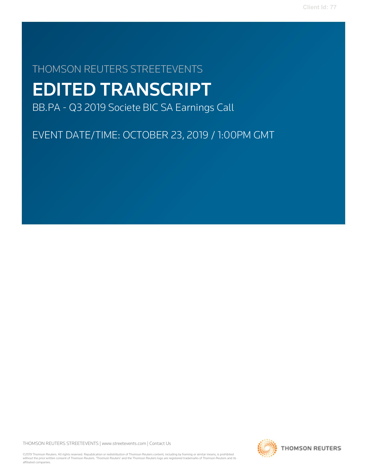# THOMSON REUTERS STREETEVENTS EDITED TRANSCRIPT

BB.PA - Q3 2019 Societe BIC SA Earnings Call

EVENT DATE/TIME: OCTOBER 23, 2019 / 1:00PM GMT

THOMSON REUTERS STREETEVENTS | www.streetevents.com | Contact Us

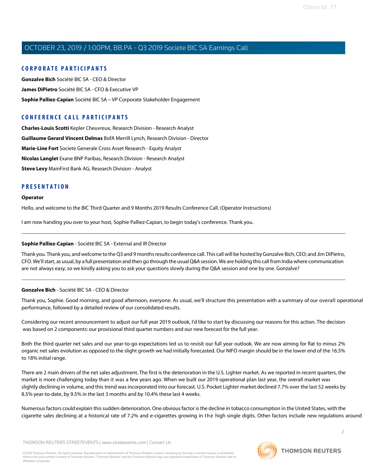### C O R P O R A TE P A R TICI P A N TS

Gonzalve Bich Société BIC SA - CEO & Director James DiPietro Société BIC SA - CFO & Executive VP Sophie Palliez-Capian Société BIC SA – VP Corporate Stakeholder Engagement

### CONFERENCE CALL PARTICIPANTS

Charles-Louis Scotti Kepler Cheuvreux, Research Division - Research Analyst Guillaume Gerard Vincent Delmas BofA Merrill Lynch, Research Division - Director Marie-Line Fort Societe Generale Cross Asset Research - Equity Analyst Nicolas Langlet Exane BNP Paribas, Research Division - Research Analyst Steve Levy MainFirst Bank AG, Research Division - Analyst

### **PRESENTATION**

#### Operator

Hello, and welcome to the BIC Third Quarter and 9 Months 2019 Results Conference Call. (Operator Instructions)

I am now handing you over to your host, Sophie Palliez-Capian, to begin today's conference. Thank you.

### Sophie Palliez-Capian - Société BIC SA - External and IR Director

Thank you. Thank you, and welcome to theQ3 and 9 monthsresults conference call. This call will be hosted byGonzalve Bich, CEO; and Jim DiPietro, CFO. We'll start, as usual, by a full presentation and then go through the usual Q&A session. We are holding this call from India where communication are not always easy, so we kindly asking you to ask your questions slowly during the Q&A session and one by one. Gonzalve?

### Gonzalve Bich - Société BIC SA - CEO & Director

Thank you, Sophie. Good morning, and good afternoon, everyone. As usual, we'll structure this presentation with a summary of our overall operational performance, followed by a detailed review of our consolidated results.

Considering our recent announcement to adjust our full year 2019 outlook, I'd like to start by discussing our reasons for this action. The decision was based on 2 components: our provisional third quarter numbers and our new forecast for the full year.

Both the third quarter net sales and our year-to-go expectations led us to revisit our full year outlook. We are now aiming for flat to minus 2% organic net sales evolution as opposed to the slight growth we had initially forecasted. Our NIFO margin should be in the lower end of the 16.5% to 18% initial range.

There are 2 main drivers of the net sales adjustment. The first is the deterioration in the U.S. Lighter market. As we reported in recent quarters, the market is more challenging today than it was a few years ago. When we built our 2019 operational plan last year, the overall market was slightly declining in volume, and this trend was incorporated into our forecast. U.S. Pocket Lighter market declined 7.7% over the last 52 weeks by 8.5% year-to-date, by 9.5% in the last 3 months and by 10.4% these last 4 weeks.

Numerousfactors could explain thissudden deterioration. One obviousfactor isthe decline in tobacco consumption in the United States, with the cigarette sales declining at a historical rate of 7.2% and e-cigarettes growing in the high single digits. Other factors include new regulations around

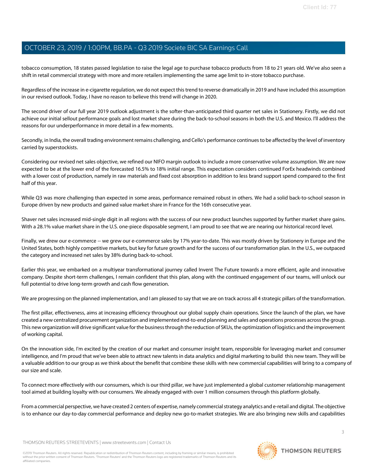tobacco consumption, 18 states passed legislation to raise the legal age to purchase tobacco products from 18 to 21 years old. We've also seen a shift in retail commercial strategy with more and more retailers implementing the same age limit to in-store tobacco purchase.

Regardless of the increase in e-cigarette regulation, we do not expect thistrend to reverse dramatically in 2019 and have included this assumption in our revised outlook. Today, I have no reason to believe this trend will change in 2020.

The second driver of our full year 2019 outlook adjustment is the softer-than-anticipated third quarter net sales in Stationery. Firstly, we did not achieve our initial sellout performance goals and lost market share during the back-to-school seasons in both the U.S. and Mexico. I'll address the reasons for our underperformance in more detail in a few moments.

Secondly, in India, the overall trading environment remains challenging, and Cello's performance continues to be affected by the level of inventory carried by superstockists.

Considering our revised net sales objective, we refined our NIFO margin outlook to include a more conservative volume assumption. We are now expected to be at the lower end of the forecasted 16.5% to 18% initial range. This expectation considers continued ForEx headwinds combined with a lower cost of production, namely in raw materials and fixed cost absorption in addition to less brand support spend compared to the first half of this year.

While Q3 was more challenging than expected in some areas, performance remained robust in others. We had a solid back-to-school season in Europe driven by new products and gained value market share in France for the 16th consecutive year.

Shaver net sales increased mid-single digit in all regions with the success of our new product launches supported by further market share gains. With a 28.1% value market share in the U.S. one-piece disposable segment, I am proud to see that we are nearing our historical record level.

Finally, we drew our e-commerce -- we grew our e-commerce sales by 17% year-to-date. This was mostly driven by Stationery in Europe and the United States, both highly competitive markets, but key for future growth and for the success of our transformation plan. In the U.S., we outpaced the category and increased net sales by 38% during back-to-school.

Earlier this year, we embarked on a multiyear transformational journey called Invent The Future towards a more efficient, agile and innovative company. Despite short-term challenges, I remain confident that this plan, along with the continued engagement of our teams, will unlock our full potential to drive long-term growth and cash flow generation.

We are progressing on the planned implementation, and I am pleased to say that we are on track across all 4 strategic pillars of the transformation.

The first pillar, effectiveness, aims at increasing efficiency throughout our global supply chain operations. Since the launch of the plan, we have created a new centralized procurement organization and implemented end-to-end planning and sales and operations processes acrossthe group. This new organization will drive significant value for the businessthrough the reduction of SKUs, the optimization of logistics and the improvement of working capital.

On the innovation side, I'm excited by the creation of our market and consumer insight team, responsible for leveraging market and consumer intelligence, and I'm proud that we've been able to attract new talentsin data analytics and digital marketing to build this new team. They will be a valuable addition to our group as we think about the benefit that combine these skills with new commercial capabilities will bring to a company of our size and scale.

To connect more effectively with our consumers, which is our third pillar, we have just implemented a global customer relationship management tool aimed at building loyalty with our consumers. We already engaged with over 1 million consumers through this platform globally.

From a commercial perspective, we have created 2 centers of expertise, namely commercial strategy analytics and e-retail and digital. The objective is to enhance our day-to-day commercial performance and deploy new go-to-market strategies. We are also bringing new skills and capabilities

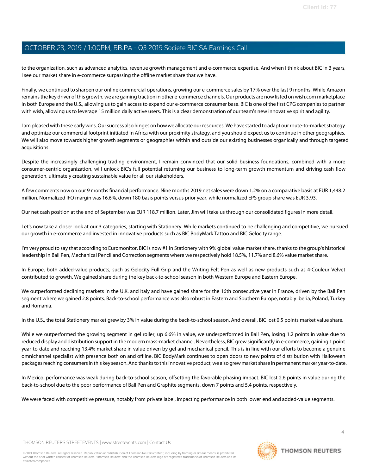to the organization, such as advanced analytics, revenue growth management and e-commerce expertise. And when I think about BIC in 3 years, I see our market share in e-commerce surpassing the offline market share that we have.

Finally, we continued to sharpen our online commercial operations, growing our e-commerce sales by 17% over the last 9 months. While Amazon remainsthe key driver ofthis growth, we are gaining traction in other e-commerce channels.Our products are now listed on wish.com marketplace in both Europe and the U.S., allowing usto gain accessto expand our e-commerce consumer base. BIC is one of the first CPG companiesto partner with wish, allowing us to leverage 15 million daily active users. This is a clear demonstration of our team's new innovative spirit and agility.

I am pleased with these early wins. Our success also hinges on how we allocate our resources. We have started to adapt our route-to-market strategy and optimize our commercial footprint initiated in Africa with our proximity strategy, and you should expect us to continue in other geographies. We will also move towards higher growth segments or geographies within and outside our existing businesses organically and through targeted acquisitions.

Despite the increasingly challenging trading environment, I remain convinced that our solid business foundations, combined with a more consumer-centric organization, will unlock BIC's full potential returning our business to long-term growth momentum and driving cash flow generation, ultimately creating sustainable value for all our stakeholders.

A few comments now on our 9 monthsfinancial performance. Nine months 2019 net sales were down 1.2% on a comparative basis at EUR 1,448.2 million. Normalized IFO margin was 16.6%, down 180 basis points versus prior year, while normalized EPS group share was EUR 3.93.

Our net cash position at the end of September was EUR 118.7 million. Later, Jim will take us through our consolidated figures in more detail.

Let's now take a closer look at our 3 categories, starting with Stationery. While markets continued to be challenging and competitive, we pursued our growth in e-commerce and invested in innovative products such as BIC BodyMark Tattoo and BIC Gelocity range.

I'm very proud to say that according to Euromonitor, BIC is now #1 in Stationery with 9% global value market share, thanks to the group's historical leadership in Ball Pen, Mechanical Pencil and Correction segments where we respectively hold 18.5%, 11.7% and 8.6% value market share.

In Europe, both added-value products, such as Gelocity Full Grip and the Writing Felt Pen as well as new products such as 4-Couleur Velvet contributed to growth. We gained share during the key back-to-school season in both Western Europe and Eastern Europe.

We outperformed declining markets in the U.K. and Italy and have gained share for the 16th consecutive year in France, driven by the Ball Pen segment where we gained 2.8 points. Back-to-school performance was also robust in Eastern and Southern Europe, notably Iberia, Poland, Turkey and Romania.

In the U.S., the total Stationery market grew by 3% in value during the back-to-school season. And overall, BIC lost 0.5 points market value share.

While we outperformed the growing segment in gel roller, up 6.6% in value, we underperformed in Ball Pen, losing 1.2 points in value due to reduced display and distribution support in the modern mass-market channel. Nevertheless, BIC grew significantly in e-commerce, gaining 1 point year-to-date and reaching 13.4% market share in value driven by gel and mechanical pencil. This is in line with our efforts to become a genuine omnichannel specialist with presence both on and offline. BIC BodyMark continues to open doors to new points of distribution with Halloween packages reaching consumers in this key season. And thanks to this innovative product, we also grew market share in permanent marker year-to-date.

In Mexico, performance was weak during back-to-school season, offsetting the favorable phasing impact. BIC lost 2.6 points in value during the back-to-school due to the poor performance of Ball Pen and Graphite segments, down 7 points and 5.4 points, respectively.

We were faced with competitive pressure, notably from private label, impacting performance in both lower end and added-value segments.

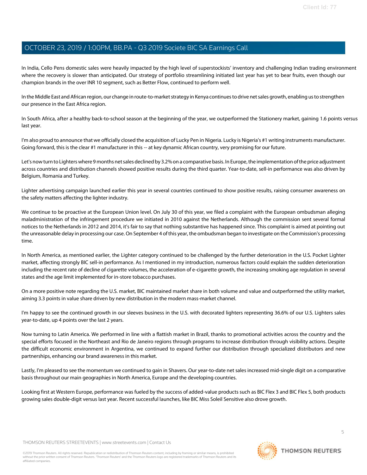In India, Cello Pens domestic sales were heavily impacted by the high level of superstockists' inventory and challenging Indian trading environment where the recovery is slower than anticipated. Our strategy of portfolio streamlining initiated last year has yet to bear fruits, even though our champion brands in the over INR 10 segment, such as Better Flow, continued to perform well.

In the Middle East and African region, our change in route-to-market strategy in Kenya continues to drive net sales growth, enabling us to strengthen our presence in the East Africa region.

In South Africa, after a healthy back-to-school season at the beginning of the year, we outperformed the Stationery market, gaining 1.6 points versus last year.

I'm also proud to announce that we officially closed the acquisition of Lucky Pen in Nigeria. Lucky is Nigeria's #1 writing instruments manufacturer. Going forward, this is the clear #1 manufacturer in this -- at key dynamic African country, very promising for our future.

Let's now turn to Lighters where 9 months net sales declined by 3.2% on a comparative basis. In Europe, the implementation of the price adjustment across countries and distribution channels showed positive results during the third quarter. Year-to-date, sell-in performance was also driven by Belgium, Romania and Turkey.

Lighter advertising campaign launched earlier this year in several countries continued to show positive results, raising consumer awareness on the safety matters affecting the lighter industry.

We continue to be proactive at the European Union level. On July 30 of this year, we filed a complaint with the European ombudsman alleging maladministration of the infringement procedure we initiated in 2010 against the Netherlands. Although the commission sent several formal notices to the Netherlands in 2012 and 2014, it's fair to say that nothing substantive has happened since. This complaint is aimed at pointing out the unreasonable delay in processing our case.On September 4 ofthis year, the ombudsman began to investigate on the Commission's processing time.

In North America, as mentioned earlier, the Lighter category continued to be challenged by the further deterioration in the U.S. Pocket Lighter market, affecting strongly BIC sell-in performance. As I mentioned in my introduction, numerous factors could explain the sudden deterioration including the recent rate of decline of cigarette volumes, the acceleration of e-cigarette growth, the increasing smoking age regulation in several states and the age limit implemented for in-store tobacco purchases.

On a more positive note regarding the U.S. market, BIC maintained market share in both volume and value and outperformed the utility market, aiming 3.3 points in value share driven by new distribution in the modern mass-market channel.

I'm happy to see the continued growth in our sleeves business in the U.S. with decorated lighters representing 36.6% of our U.S. Lighters sales year-to-date, up 4 points over the last 2 years.

Now turning to Latin America. We performed in line with a flattish market in Brazil, thanks to promotional activities across the country and the special efforts focused in the Northeast and Rio de Janeiro regions through programs to increase distribution through visibility actions. Despite the difficult economic environment in Argentina, we continued to expand further our distribution through specialized distributors and new partnerships, enhancing our brand awareness in this market.

Lastly, I'm pleased to see the momentum we continued to gain in Shavers. Our year-to-date net sales increased mid-single digit on a comparative basis throughout our main geographies in North America, Europe and the developing countries.

Looking first at Western Europe, performance was fueled by the success of added-value products such as BIC Flex 3 and BIC Flex 5, both products growing sales double-digit versus last year. Recent successful launches, like BIC Miss Soleil Sensitive also drove growth.

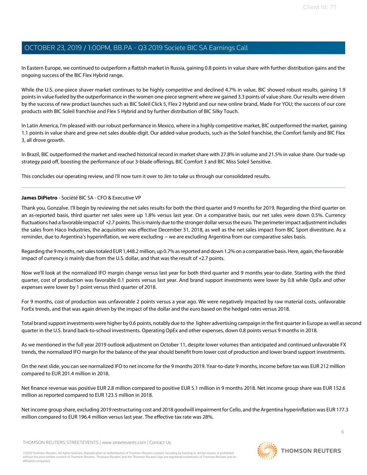In Eastern Europe, we continued to outperform a flattish market in Russia, gaining 0.8 points in value share with further distribution gains and the ongoing success of the BIC Flex Hybrid range.

While the U.S. one-piece shaver market continues to be highly competitive and declined 4.7% in value, BIC showed robust results, gaining 1.9 points in value fueled by the outperformance in the women one-piece segment where we gained 3.3 points of value share. Our results were driven by the success of new product launches such as BIC Soleil Click 5, Flex 2 Hybrid and our new online brand, Made For YOU; the success of our core products with BIC Soleil franchise and Flex 5 Hybrid and by further distribution of BIC Silky Touch.

In Latin America, I'm pleased with our robust performance in Mexico, where in a highly competitive market, BIC outperformed the market, gaining 1.1 points in value share and grew net sales double-digit. Our added-value products, such as the Soleil franchise, the Comfort family and BIC Flex 3, all drove growth.

In Brazil, BIC outperformed the market and reached historical record in market share with 27.8% in volume and 21.5% in value share. Our trade-up strategy paid off, boosting the performance of our 3-blade offerings, BIC Comfort 3 and BIC Miss Soleil Sensitive.

This concludes our operating review, and I'll now turn it over to Jim to take us through our consolidated results.

#### James DiPietro - Société BIC SA - CFO & Executive VP

Thank you, Gonzalve. I'll begin by reviewing the net sales results for both the third quarter and 9 months for 2019. Regarding the third quarter on an as-reported basis, third quarter net sales were up 1.8% versus last year. On a comparative basis, our net sales were down 0.5%. Currency fluctuations had a favorable impact of +2.7 points. This is mainly due to the stronger dollar versus the euro. The perimeter impact adjustment includes the sales from Haco Industries, the acquisition was effective December 31, 2018, as well as the net sales impact from BIC Sport divestiture. As a reminder, due to Argentina's hyperinflation, we were excluding -- we are excluding Argentina from our comparative sales basis.

Regarding the 9 months, net sales totaled EUR 1,448.2 million, up 0.7% as reported and down 1.2% on a comparative basis. Here, again, the favorable impact of currency is mainly due from the U.S. dollar, and that was the result of +2.7 points.

Now we'll look at the normalized IFO margin change versus last year for both third quarter and 9 months year-to-date. Starting with the third quarter, cost of production was favorable 0.1 points versus last year. And brand support investments were lower by 0.8 while OpEx and other expenses were lower by 1 point versus third quarter of 2018.

For 9 months, cost of production was unfavorable 2 points versus a year ago. We were negatively impacted by raw material costs, unfavorable ForEx trends, and that was again driven by the impact of the dollar and the euro based on the hedged rates versus 2018.

Total brand support investments were higher by 0.6 points, notably due to the lighter advertising campaign in the first quarter in Europe as well as second quarter in the U.S. brand back-to-school investments. Operating OpEx and other expenses, down 0.8 points versus 9 months in 2018.

As we mentioned in the full year 2019 outlook adjustment on October 11, despite lower volumes than anticipated and continued unfavorable FX trends, the normalized IFO margin for the balance of the year should benefit from lower cost of production and lower brand support investments.

On the next slide, you can see normalized IFO to net income for the 9 months 2019. Year-to-date 9 months, income before tax was EUR 212 million compared to EUR 201.4 million in 2018.

Net finance revenue was positive EUR 2.8 million compared to positive EUR 5.1 million in 9 months 2018. Net income group share was EUR 152.6 million as reported compared to EUR 123.5 million in 2018.

Net income group share, excluding 2019 restructuring cost and 2018 goodwill impairment for Cello, and the Argentina hyperinflation was EUR 177.3 million compared to EUR 196.4 million versus last year. The effective tax rate was 28%.

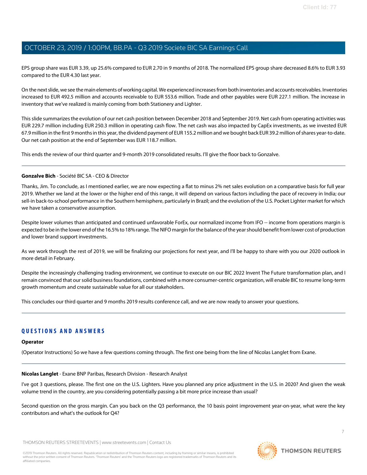EPS group share was EUR 3.39, up 25.6% compared to EUR 2.70 in 9 months of 2018. The normalized EPS group share decreased 8.6% to EUR 3.93 compared to the EUR 4.30 last year.

On the next slide, we see the main elements of working capital. We experienced increases from both inventories and accounts receivables. Inventories increased to EUR 492.5 million and accounts receivable to EUR 553.6 million. Trade and other payables were EUR 227.1 million. The increase in inventory that we've realized is mainly coming from both Stationery and Lighter.

Thisslide summarizesthe evolution of our net cash position between December 2018 and September 2019. Net cash from operating activities was EUR 229.7 million including EUR 250.3 million in operating cash flow. The net cash was also impacted by CapEx investments, as we invested EUR 67.9 million in the first 9 monthsin this year,the dividend payment of EUR 155.2 million and we bought back EUR 39.2 million ofshares year-to-date. Our net cash position at the end of September was EUR 118.7 million.

This ends the review of our third quarter and 9-month 2019 consolidated results. I'll give the floor back to Gonzalve.

#### Gonzalve Bich - Société BIC SA - CEO & Director

Thanks, Jim. To conclude, as I mentioned earlier, we are now expecting a flat to minus 2% net sales evolution on a comparative basis for full year 2019. Whether we land at the lower or the higher end of this range, it will depend on various factors including the pace of recovery in India; our sell-in back-to-school performance in the Southern hemisphere, particularly in Brazil; and the evolution of the U.S. Pocket Lighter market for which we have taken a conservative assumption.

Despite lower volumes than anticipated and continued unfavorable ForEx, our normalized income from IFO -- income from operations margin is expected to be in the lower end of the 16.5% to 18% range. The NIFO margin for the balance of the year should benefit from lower cost of production and lower brand support investments.

As we work through the rest of 2019, we will be finalizing our projections for next year, and I'll be happy to share with you our 2020 outlook in more detail in February.

Despite the increasingly challenging trading environment, we continue to execute on our BIC 2022 Invent The Future transformation plan, and I remain convinced that oursolid business foundations, combined with a more consumer-centric organization, will enable BIC to resume long-term growth momentum and create sustainable value for all our stakeholders.

This concludes our third quarter and 9 months 2019 results conference call, and we are now ready to answer your questions.

### **QUESTIONS AND ANSWERS**

#### **Operator**

(Operator Instructions) So we have a few questions coming through. The first one being from the line of Nicolas Langlet from Exane.

#### Nicolas Langlet - Exane BNP Paribas, Research Division - Research Analyst

I've got 3 questions, please. The first one on the U.S. Lighters. Have you planned any price adjustment in the U.S. in 2020? And given the weak volume trend in the country, are you considering potentially passing a bit more price increase than usual?

Second question on the gross margin. Can you back on the Q3 performance, the 10 basis point improvement year-on-year, what were the key contributors and what's the outlook for Q4?

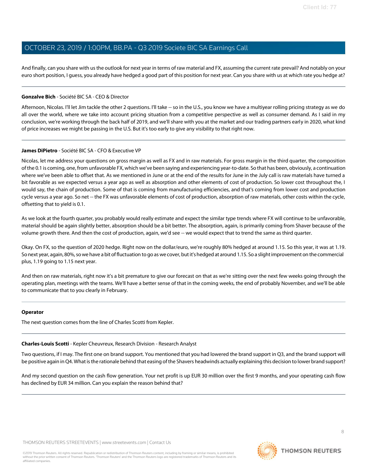And finally, can you share with usthe outlook for next year in terms of raw material and FX, assuming the current rate prevail? And notably on your euro short position, I guess, you already have hedged a good part of this position for next year. Can you share with us at which rate you hedge at?

#### Gonzalve Bich - Société BIC SA - CEO & Director

Afternoon, Nicolas. I'll let Jim tackle the other 2 questions. I'll take -- so in the U.S., you know we have a multiyear rolling pricing strategy as we do all over the world, where we take into account pricing situation from a competitive perspective as well as consumer demand. As I said in my conclusion, we're working through the back half of 2019, and we'll share with you at the market and our trading partners early in 2020, what kind of price increases we might be passing in the U.S. But it's too early to give any visibility to that right now.

#### James DiPietro - Société BIC SA - CFO & Executive VP

Nicolas, let me address your questions on gross margin as well as FX and in raw materials. For gross margin in the third quarter, the composition of the 0.1 is coming, one, from unfavorable FX, which we've been saying and experiencing year-to-date. So that has been, obviously, a continuation where we've been able to offset that. As we mentioned in June or at the end of the results for June in the July call is raw materials have turned a bit favorable as we expected versus a year ago as well as absorption and other elements of cost of production. So lower cost throughout the, I would say, the chain of production. Some of that is coming from manufacturing efficiencies, and that's coming from lower cost and production cycle versus a year ago. So net -- the FX was unfavorable elements of cost of production, absorption of raw materials, other costs within the cycle, offsetting that to yield is 0.1.

As we look at the fourth quarter, you probably would really estimate and expect the similar type trends where FX will continue to be unfavorable, material should be again slightly better, absorption should be a bit better. The absorption, again, is primarily coming from Shaver because of the volume growth there. And then the cost of production, again, we'd see -- we would expect that to trend the same as third quarter.

Okay. On FX, so the question of 2020 hedge. Right now on the dollar/euro, we're roughly 80% hedged at around 1.15. So this year, it was at 1.19. So next year, again, 80%,sowe have a bit of fluctuation to go as we cover, butit'shedged at around 1.15. So a slightimprovement on the commercial plus, 1.19 going to 1.15 next year.

And then on raw materials, right now it's a bit premature to give our forecast on that as we're sitting over the next few weeks going through the operating plan, meetings with the teams. We'll have a better sense of that in the coming weeks, the end of probably November, and we'll be able to communicate that to you clearly in February.

#### **Operator**

The next question comes from the line of Charles Scotti from Kepler.

#### Charles-Louis Scotti - Kepler Cheuvreux, Research Division - Research Analyst

Two questions, if I may. The first one on brand support. You mentioned that you had lowered the brand support in Q3, and the brand support will be positive again in Q4. What is the rationale behind that easing of the Shavers headwinds actually explaining this decision to lower brand support?

And my second question on the cash flow generation. Your net profit is up EUR 30 million over the first 9 months, and your operating cash flow has declined by EUR 34 million. Can you explain the reason behind that?

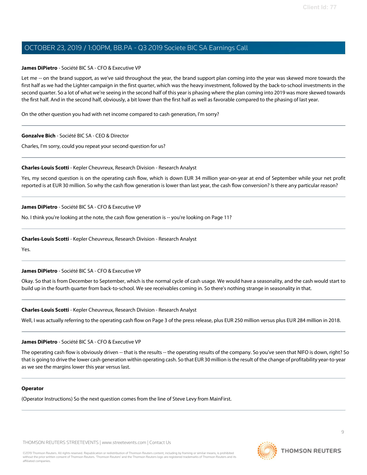#### James DiPietro - Société BIC SA - CFO & Executive VP

Let me -- on the brand support, as we've said throughout the year, the brand support plan coming into the year was skewed more towards the first half as we had the Lighter campaign in the first quarter, which was the heavy investment, followed by the back-to-school investments in the second quarter. So a lot of what we're seeing in the second half of this year is phasing where the plan coming into 2019 was more skewed towards the first half. And in the second half, obviously, a bit lower than the first half as well as favorable compared to the phasing of last year.

On the other question you had with net income compared to cash generation, I'm sorry?

#### Gonzalve Bich - Société BIC SA - CEO & Director

Charles, I'm sorry, could you repeat your second question for us?

#### Charles-Louis Scotti - Kepler Cheuvreux, Research Division - Research Analyst

Yes, my second question is on the operating cash flow, which is down EUR 34 million year-on-year at end of September while your net profit reported is at EUR 30 million. So why the cash flow generation is lower than last year, the cash flow conversion? Is there any particular reason?

#### James DiPietro - Société BIC SA - CFO & Executive VP

No. I think you're looking at the note, the cash flow generation is -- you're looking on Page 11?

#### Charles-Louis Scotti - Kepler Cheuvreux, Research Division - Research Analyst

Yes.

#### James DiPietro - Société BIC SA - CFO & Executive VP

Okay. So that is from December to September, which is the normal cycle of cash usage. We would have a seasonality, and the cash would start to build up in the fourth quarter from back-to-school. We see receivables coming in. So there's nothing strange in seasonality in that.

#### Charles-Louis Scotti - Kepler Cheuvreux, Research Division - Research Analyst

Well, I was actually referring to the operating cash flow on Page 3 of the press release, plus EUR 250 million versus plus EUR 284 million in 2018.

#### James DiPietro - Société BIC SA - CFO & Executive VP

The operating cash flow is obviously driven -- that is the results -- the operating results of the company. So you've seen that NIFO is down, right? So that is going to drive the lower cash generation within operating cash. So that EUR 30 million isthe result of the change of profitability year-to-year as we see the margins lower this year versus last.

#### **Operator**

(Operator Instructions) So the next question comes from the line of Steve Levy from MainFirst.

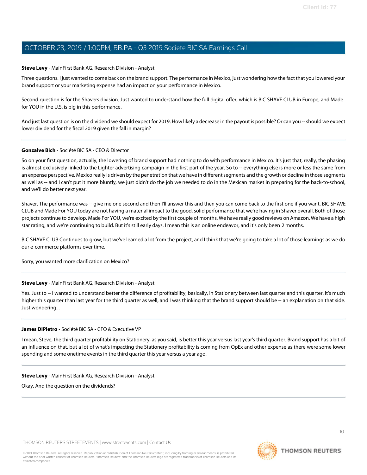#### Steve Levy - MainFirst Bank AG, Research Division - Analyst

Three questions. I just wanted to come back on the brand support. The performance in Mexico, just wondering how the fact that you lowered your brand support or your marketing expense had an impact on your performance in Mexico.

Second question is for the Shavers division. Just wanted to understand how the full digital offer, which is BIC SHAVE CLUB in Europe, and Made for YOU in the U.S. is big in this performance.

And just last question is on the dividend we should expect for 2019. How likely a decrease in the payout is possible? Or can you -- should we expect lower dividend for the fiscal 2019 given the fall in margin?

#### Gonzalve Bich - Société BIC SA - CEO & Director

So on your first question, actually, the lowering of brand support had nothing to do with performance in Mexico. It's just that, really, the phasing is almost exclusively linked to the Lighter advertising campaign in the first part of the year. So to -- everything else is more or less the same from an expense perspective. Mexico really is driven by the penetration that we have in different segments and the growth or decline in those segments as well as -- and I can't put it more bluntly, we just didn't do the job we needed to do in the Mexican market in preparing for the back-to-school, and we'll do better next year.

Shaver. The performance was -- give me one second and then I'll answer this and then you can come back to the first one if you want. BIC SHAVE CLUB and Made For YOU today are not having a material impact to the good, solid performance that we're having in Shaver overall. Both of those projects continue to develop. Made For YOU, we're excited by the first couple of months. We have really good reviews on Amazon. We have a high star rating, and we're continuing to build. But it's still early days. I mean this is an online endeavor, and it's only been 2 months.

BIC SHAVE CLUB Continues to grow, but we've learned a lot from the project, and I think that we're going to take a lot of those learnings as we do our e-commerce platforms over time.

Sorry, you wanted more clarification on Mexico?

#### Steve Levy - MainFirst Bank AG, Research Division - Analyst

Yes. Just to -- I wanted to understand better the difference of profitability, basically, in Stationery between last quarter and this quarter. It's much higher this quarter than last year for the third quarter as well, and I was thinking that the brand support should be -- an explanation on that side. Just wondering...

#### James DiPietro - Société BIC SA - CFO & Executive VP

I mean, Steve, the third quarter profitability on Stationery, as you said, is better this year versus last year's third quarter. Brand support has a bit of an influence on that, but a lot of what's impacting the Stationery profitability is coming from OpEx and other expense as there were some lower spending and some onetime events in the third quarter this year versus a year ago.

#### Steve Levy - MainFirst Bank AG, Research Division - Analyst

Okay. And the question on the dividends?

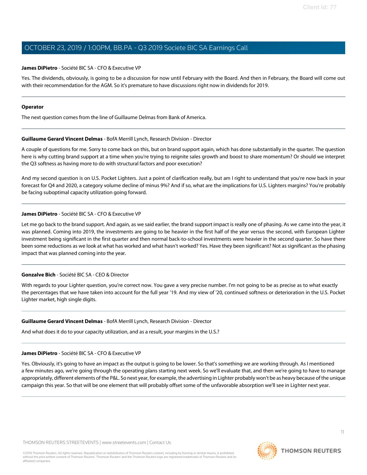#### James DiPietro - Société BIC SA - CFO & Executive VP

Yes. The dividends, obviously, is going to be a discussion for now until February with the Board. And then in February, the Board will come out with their recommendation for the AGM. So it's premature to have discussions right now in dividends for 2019.

#### Operator

The next question comes from the line of Guillaume Delmas from Bank of America.

#### Guillaume Gerard Vincent Delmas - BofA Merrill Lynch, Research Division - Director

A couple of questions for me. Sorry to come back on this, but on brand support again, which has done substantially in the quarter. The question here is why cutting brand support at a time when you're trying to reignite sales growth and boost to share momentum? Or should we interpret the Q3 softness as having more to do with structural factors and poor execution?

And my second question is on U.S. Pocket Lighters. Just a point of clarification really, but am I right to understand that you're now back in your forecast for Q4 and 2020, a category volume decline of minus 9%? And if so, what are the implications for U.S. Lighters margins? You're probably be facing suboptimal capacity utilization going forward.

#### James DiPietro - Société BIC SA - CFO & Executive VP

Let me go back to the brand support. And again, as we said earlier, the brand support impact is really one of phasing. As we came into the year, it was planned. Coming into 2019, the investments are going to be heavier in the first half of the year versus the second, with European Lighter investment being significant in the first quarter and then normal back-to-school investments were heavier in the second quarter. So have there been some reductions as we look at what has worked and what hasn't worked? Yes. Have they been significant? Not as significant as the phasing impact that was planned coming into the year.

#### Gonzalve Bich - Société BIC SA - CEO & Director

With regards to your Lighter question, you're correct now. You gave a very precise number. I'm not going to be as precise as to what exactly the percentages that we have taken into account for the full year '19. And my view of '20, continued softness or deterioration in the U.S. Pocket Lighter market, high single digits.

#### Guillaume Gerard Vincent Delmas - BofA Merrill Lynch, Research Division - Director

And what does it do to your capacity utilization, and as a result, your margins in the U.S.?

#### James DiPietro - Société BIC SA - CFO & Executive VP

Yes. Obviously, it's going to have an impact as the output is going to be lower. So that's something we are working through. As I mentioned a few minutes ago, we're going through the operating plans starting next week. So we'll evaluate that, and then we're going to have to manage appropriately, different elements of the P&L. So next year, for example, the advertising in Lighter probably won't be as heavy because ofthe unique campaign this year. So that will be one element that will probably offset some of the unfavorable absorption we'll see in Lighter next year.

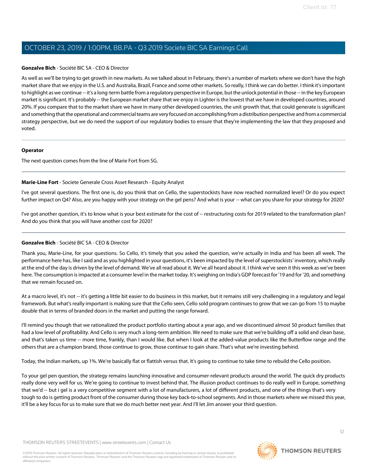#### Gonzalve Bich - Société BIC SA - CEO & Director

As well as we'll be trying to get growth in new markets. As we talked about in February, there's a number of markets where we don't have the high market share that we enjoy in the U.S. and Australia, Brazil, France and some other markets. So really, I think we can do better. I think it's important to highlight as we continue -- it's a long-term battle from a regulatory perspective in Europe, but the unlock potential in those -- in the key European market is significant. It's probably -- the European market share that we enjoy in Lighter is the lowest that we have in developed countries, around 20%. If you compare that to the market share we have in many other developed countries, the unit growth that, that could generate is significant and something that the operational and commercial teams are very focused on accomplishing from a distribution perspective and from a commercial strategy perspective, but we do need the support of our regulatory bodies to ensure that they're implementing the law that they proposed and voted.

#### **Operator**

The next question comes from the line of Marie Fort from SG.

#### Marie-Line Fort - Societe Generale Cross Asset Research - Equity Analyst

I've got several questions. The first one is, do you think that on Cello, the superstockists have now reached normalized level? Or do you expect further impact on Q4? Also, are you happy with your strategy on the gel pens? And what is your -- what can you share for your strategy for 2020?

I've got another question, it's to know what is your best estimate for the cost of -- restructuring costs for 2019 related to the transformation plan? And do you think that you will have another cost for 2020?

### Gonzalve Bich - Société BIC SA - CEO & Director

Thank you, Marie-Line, for your questions. So Cello, it's timely that you asked the question, we're actually in India and has been all week. The performance here has, like I said and as you highlighted in your questions, it's been impacted by the level of superstockists' inventory, which really at the end of the day is driven by the level of demand. We've all read about it. We've all heard about it. I think we've seen it this week as we've been here. The consumption isimpacted at a consumer level in the market today. It's weighing on India's GDP forecast for '19 and for '20, and something that we remain focused on.

At a macro level, it's not -- it's getting a little bit easier to do business in this market, but it remains still very challenging in a regulatory and legal framework. But what's really important is making sure that the Cello seen, Cello sold program continues to grow that we can go from 15 to maybe double that in terms of branded doors in the market and putting the range forward.

I'll remind you though that we rationalized the product portfolio starting about a year ago, and we discontinued almost 50 product families that had a low level of profitability. And Cello is very much a long-term ambition. We need to make sure that we're building off a solid and clean base, and that's taken us time -- more time, frankly, than I would like. But when I look at the added-value products like the Butterflow range and the others that are a champion brand, those continue to grow, those continue to gain share. That's what we're investing behind.

Today, the Indian markets, up 1%. We're basically flat or flattish versus that. It's going to continue to take time to rebuild the Cello position.

To your gel pen question, the strategy remains launching innovative and consumer-relevant products around the world. The quick dry products really done very well for us. We're going to continue to invest behind that. The illusion product continues to do really well in Europe, something that we'd -- but i gel is a very competitive segment with a lot of manufacturers, a lot of different products, and one of the things that's very tough to do is getting product front of the consumer during those key back-to-schoolsegments. And in those markets where we missed this year, it'll be a key focus for us to make sure that we do much better next year. And I'll let Jim answer your third question.